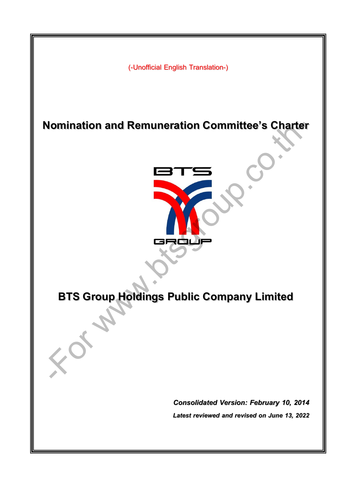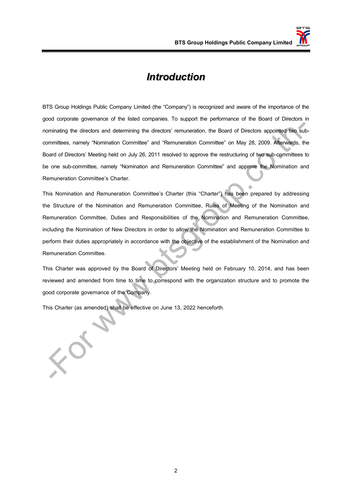### *Introduction*

BTS Group Holdings Public Company Limited (the "Company") is recognized and aware of the importance of the good corporate governance of the listed companies. To support the performance of the Board of Directors in nominating the directors and determining the directors' remuneration, the Board of Directors appointed two subcommittees, namely "Nomination Committee" and "Remuneration Committee" on May 28, 2009. Afterwards, the Board of Directors' Meeting held on July 26, 2011 resolved to approve the restructuring of two sub-committees to be one sub-committee, namely "Nomination and Remuneration Committee" and approve the Nomination and Remuneration Committee's Charter.

This Nomination and Remuneration Committee's Charter (this "Charter") has been prepared by addressing the Structure of the Nomination and Remuneration Committee, Rules of Meeting of the Nomination and Remuneration Committee, Duties and Responsibilities of the Nomination and Remuneration Committee, including the Nomination of New Directors in order to allow the Nomination and Remuneration Committee to perform their duties appropriately in accordance with the objective of the establishment of the Nomination and Remuneration Committee. minaling the directors and determining the directors' remuneration, the Board of Directors appointed two sultantified the directors' remuneration Committee' on May 28, 2009. Afterwards, then the ministers, namely "Nominati

This Charter was approved by the Board of Directors' Meeting held on February 10, 2014, and has been reviewed and amended from time to time to correspond with the organization structure and to promote the good corporate governance of the Company.

This Charter (as amended) shall be effective on June 13, 2022 henceforth.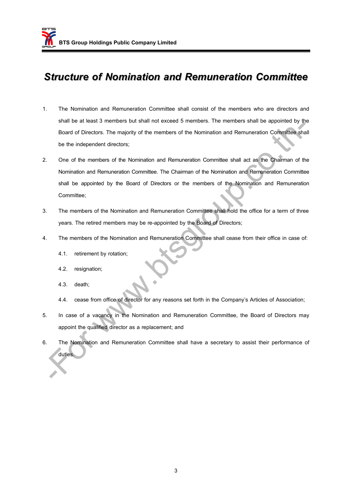## *Structure of Nomination and Remuneration Committee*

- 1. The Nomination and Remuneration Committee shall consist of the members who are directors and shall be at least 3 members but shall not exceed 5 members. The members shall be appointed by the Board of Directors. The majority of the members of the Nomination and Remuneration Committee shall be the independent directors;
- 2. One of the members of the Nomination and Remuneration Committee shall act as the Chairman of the Nomination and Remuneration Committee. The Chairman of the Nomination and Remuneration Committee shall be appointed by the Board of Directors or the members of the Nomination and Remuneration Committee; State of the Northeast of the Northeast Committee shall have a secretary to assist their performance of the Northeast Committee shall act as the Chamilton and Remuneration Committee shall act as the Chamilton and Remunerat
- 3. The members of the Nomination and Remuneration Committee shall hold the office for a term of three years. The retired members may be re-appointed by the Board of Directors;
- 4. The members of the Nomination and Remuneration Committee shall cease from their office in case of:
	- 4.1. retirement by rotation;
	- 4.2. resignation;
	- 4.3. death;
	- 4.4. cease from office of director for any reasons set forth in the Company's Articles of Association;
- 5. In case of a vacancy in the Nomination and Remuneration Committee, the Board of Directors may appoint the qualified director as a replacement; and
- 6. The Nomination and Remuneration Committee shall have a secretary to assist their performance of duties.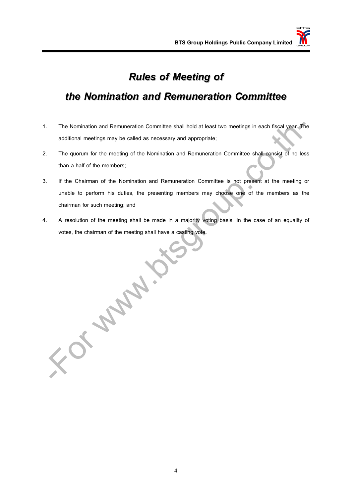## *Rules of Meeting of*

# *the Nomination and Remuneration Committee*

- 1. The Nomination and Remuneration Committee shall hold at least two meetings in each fiscal year. The additional meetings may be called as necessary and appropriate;
- 2. The quorum for the meeting of the Nomination and Remuneration Committee shall consist of no less than a half of the members;
- 3. If the Chairman of the Nomination and Remuneration Committee is not present at the meeting or unable to perform his duties, the presenting members may choose one of the members as the chairman for such meeting; and
- 4. A resolution of the meeting shall be made in a majority voting basis. In the case of an equality of votes, the chairman of the meeting shall have a casting vote.

-Formal Strait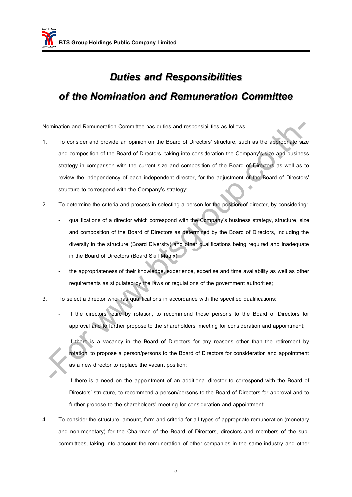# *Duties and Responsibilities of the Nomination and Remuneration Committee*

Nomination and Remuneration Committee has duties and responsibilities as follows:

- 1. To consider and provide an opinion on the Board of Directors' structure, such as the appropriate size and composition of the Board of Directors, taking into consideration the Company's size and business strategy in comparison with the current size and composition of the Board of Directors as well as to review the independency of each independent director, for the adjustment of the Board of Directors' structure to correspond with the Company's strategy; mination and Remuneration Committee has duties and responsibilities as follows:<br>
To consider and provide an ophion on the Board of Directors' structure, such as the appropriate siz<br>
and composition of the Board of Director
- 2. To determine the criteria and process in selecting a person for the position of director, by considering:
	- qualifications of a director which correspond with the Company's business strategy, structure, size and composition of the Board of Directors as determined by the Board of Directors, including the diversity in the structure (Board Diversity) and other qualifications being required and inadequate in the Board of Directors (Board Skill Matrix);
	- the appropriateness of their knowledge, experience, expertise and time availability as well as other requirements as stipulated by the laws or regulations of the government authorities;
- 3. To select a director who has qualifications in accordance with the specified qualifications:
	- If the directors retire by rotation, to recommend those persons to the Board of Directors for approval and to further propose to the shareholders' meeting for consideration and appointment;
		- If there is a vacancy in the Board of Directors for any reasons other than the retirement by rotation, to propose a person/persons to the Board of Directors for consideration and appointment as a new director to replace the vacant position;
	- If there is a need on the appointment of an additional director to correspond with the Board of Directors' structure, to recommend a person/persons to the Board of Directors for approval and to further propose to the shareholders' meeting for consideration and appointment;
- 4. To consider the structure, amount, form and criteria for all types of appropriate remuneration (monetary and non-monetary) for the Chairman of the Board of Directors, directors and members of the subcommittees, taking into account the remuneration of other companies in the same industry and other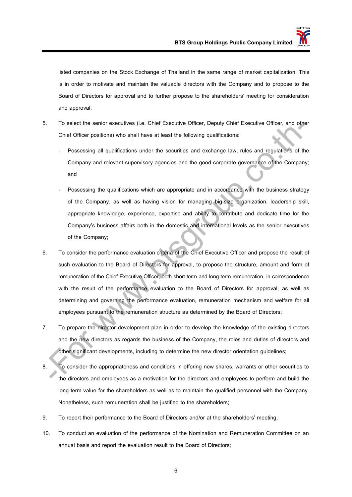listed companies on the Stock Exchange of Thailand in the same range of market capitalization. This is in order to motivate and maintain the valuable directors with the Company and to propose to the Board of Directors for approval and to further propose to the shareholders' meeting for consideration and approval;

- 5. To select the senior executives (i.e. Chief Executive Officer, Deputy Chief Executive Officer, and other Chief Officer positions) who shall have at least the following qualifications:
	- Possessing all qualifications under the securities and exchange law, rules and regulations of the Company and relevant supervisory agencies and the good corporate governance of the Company; and
	- Possessing the qualifications which are appropriate and in accordance with the business strategy of the Company, as well as having vision for managing big-size organization, leadership skill, appropriate knowledge, experience, expertise and ability to contribute and dedicate time for the Company's business affairs both in the domestic and international levels as the senior executives of the Company;
- 6. To consider the performance evaluation criteria of the Chief Executive Officer and propose the result of such evaluation to the Board of Directors for approval, to propose the structure, amount and form of remuneration of the Chief Executive Officer, both short-term and long-term remuneration, in correspondence with the result of the performance evaluation to the Board of Directors for approval, as well as determining and governing the performance evaluation, remuneration mechanism and welfare for all employees pursuant to the remuneration structure as determined by the Board of Directors; To select the senior executives (i.e. Chief Executive Officer, Deputy Chief Executive Officer, and objective Officer positions) who shall have at least the following qualifications:<br>
- Possessing all qualifications under t
- 7. To prepare the director development plan in order to develop the knowledge of the existing directors and the new directors as regards the business of the Company, the roles and duties of directors and other significant developments, including to determine the new director orientation guidelines;
- 8. To consider the appropriateness and conditions in offering new shares, warrants or other securities to the directors and employees as a motivation for the directors and employees to perform and build the long-term value for the shareholders as well as to maintain the qualified personnel with the Company. Nonetheless, such remuneration shall be justified to the shareholders;
- 9. To report their performance to the Board of Directors and/or at the shareholders' meeting;
- 10. To conduct an evaluation of the performance of the Nomination and Remuneration Committee on an annual basis and report the evaluation result to the Board of Directors;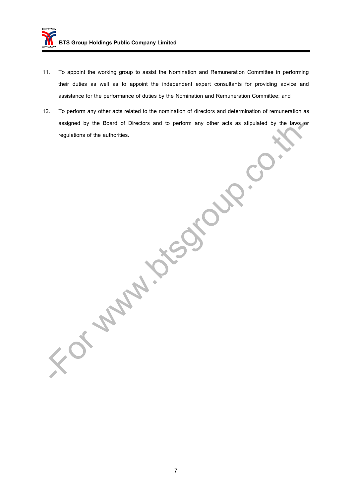- 11. To appoint the working group to assist the Nomination and Remuneration Committee in performing their duties as well as to appoint the independent expert consultants for providing advice and assistance for the performance of duties by the Nomination and Remuneration Committee; and
- 12. To perform any other acts related to the nomination of directors and determination of remuneration as assigned by the Board of Directors and to perform any other acts as stipulated by the laws or regulations of the authorities.

or www.bishout.

7